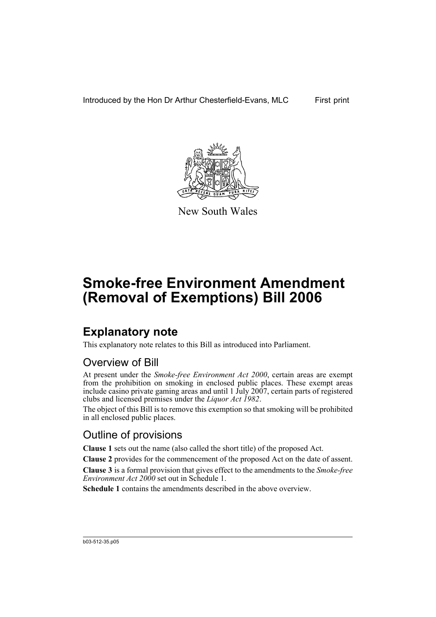

New South Wales

# **Smoke-free Environment Amendment (Removal of Exemptions) Bill 2006**

## **Explanatory note**

This explanatory note relates to this Bill as introduced into Parliament.

#### Overview of Bill

At present under the *Smoke-free Environment Act 2000*, certain areas are exempt from the prohibition on smoking in enclosed public places. These exempt areas include casino private gaming areas and until 1 July 2007, certain parts of registered clubs and licensed premises under the *Liquor Act 1982*.

The object of this Bill is to remove this exemption so that smoking will be prohibited in all enclosed public places.

#### Outline of provisions

**Clause 1** sets out the name (also called the short title) of the proposed Act.

**Clause 2** provides for the commencement of the proposed Act on the date of assent.

**Clause 3** is a formal provision that gives effect to the amendments to the *Smoke-free Environment Act 2000* set out in Schedule 1.

**Schedule 1** contains the amendments described in the above overview.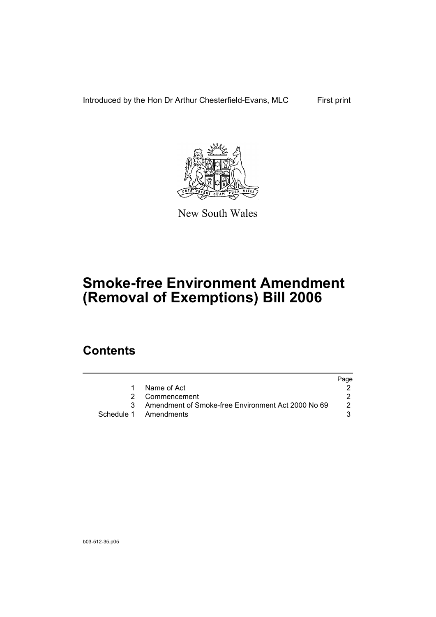Introduced by the Hon Dr Arthur Chesterfield-Evans, MLC First print



New South Wales

# **Smoke-free Environment Amendment (Removal of Exemptions) Bill 2006**

## **Contents**

|   |                                                      | Page |
|---|------------------------------------------------------|------|
| 1 | Name of Act                                          |      |
|   | 2 Commencement                                       |      |
|   | 3 Amendment of Smoke-free Environment Act 2000 No 69 | 2    |
|   | Schedule 1 Amendments                                |      |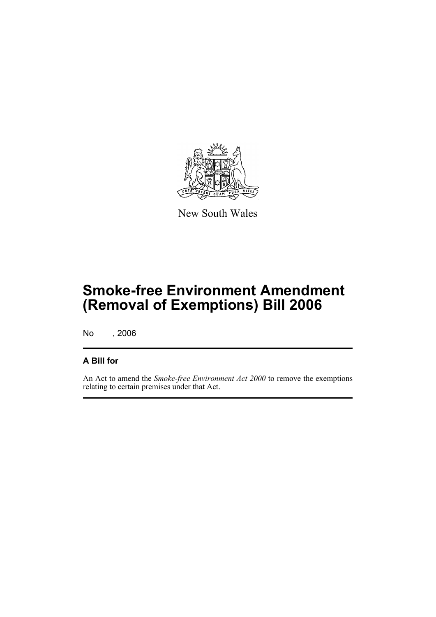

New South Wales

## **Smoke-free Environment Amendment (Removal of Exemptions) Bill 2006**

No , 2006

#### **A Bill for**

An Act to amend the *Smoke-free Environment Act 2000* to remove the exemptions relating to certain premises under that Act.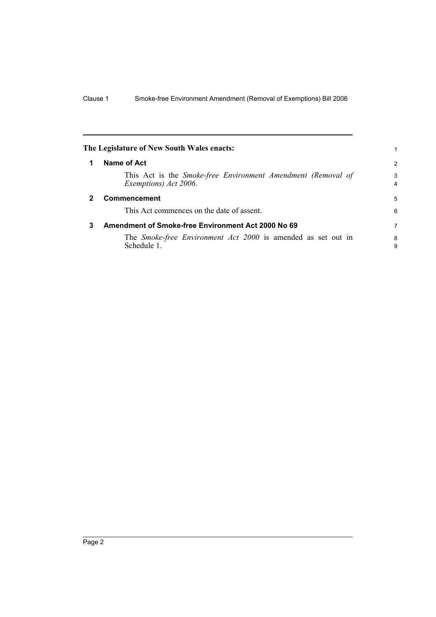<span id="page-5-2"></span><span id="page-5-1"></span><span id="page-5-0"></span>

|   | The Legislature of New South Wales enacts:                                            |                     |
|---|---------------------------------------------------------------------------------------|---------------------|
|   | Name of Act                                                                           | $\overline{2}$      |
|   | This Act is the Smoke-free Environment Amendment (Removal of<br>Exemptions) Act 2006. | 3<br>$\overline{4}$ |
|   | <b>Commencement</b>                                                                   | 5                   |
|   | This Act commences on the date of assent.                                             | 6                   |
| 3 | Amendment of Smoke-free Environment Act 2000 No 69                                    | 7                   |
|   | The <i>Smoke-free Environment Act 2000</i> is amended as set out in<br>Schedule 1.    | 8<br>9              |